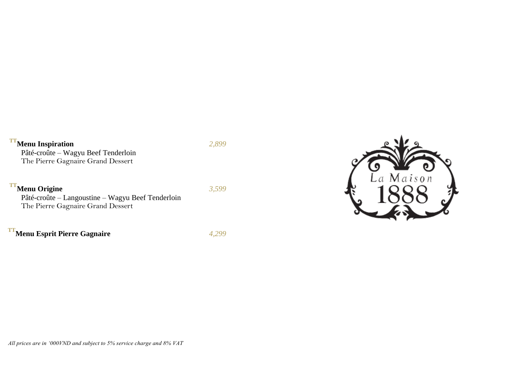## **TTMenu Inspiration** *2,899*

Pâté-croûte – Wagyu Beef Tenderloin The Pierre Gagnaire Grand Dessert

# **TTMenu Origine** *3,599*

Pâté-croûte – Langoustine – Wagyu Beef Tenderloin The Pierre Gagnaire Grand Dessert

**TTMenu Esprit Pierre Gagnaire** *4,299*



#### *All prices are in '000VND and subject to 5% service charge and 8% VAT*